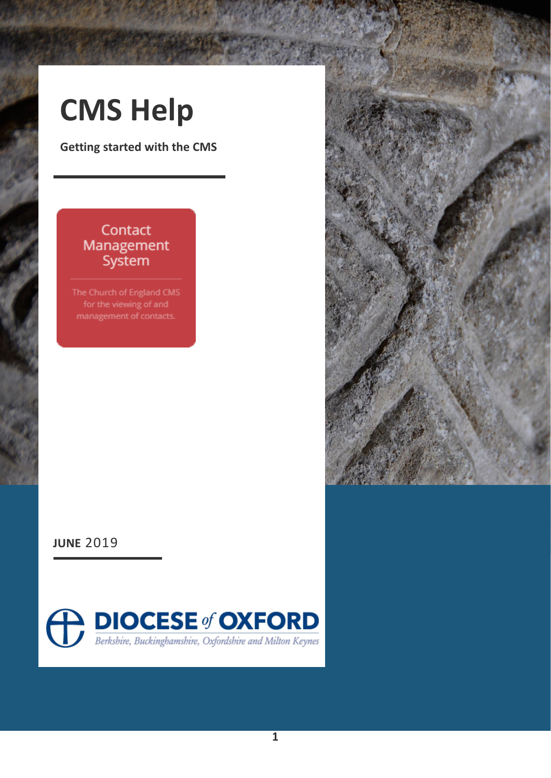## **CMS Help**

**Getting started with the CMS**

#### Contact Management System

The Church of England CMS management of contacts.



**JUNE** 2019

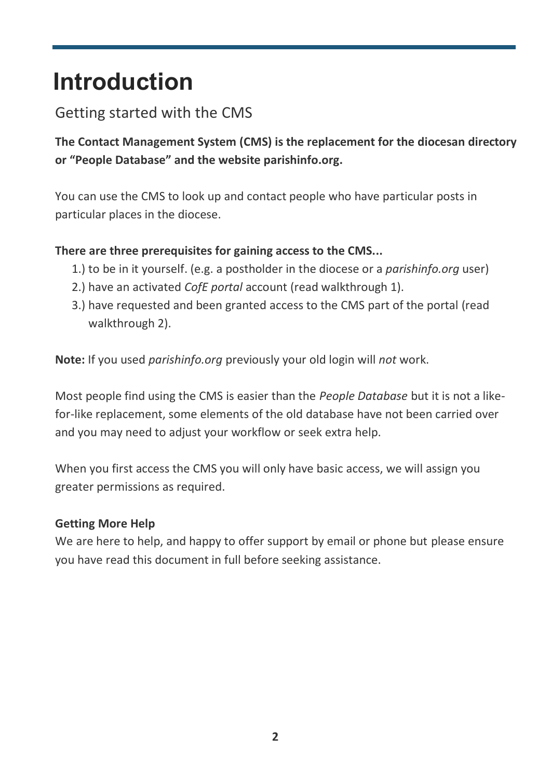### **Introduction**

#### Getting started with the CMS

**The Contact Management System (CMS) is the replacement for the diocesan directory or "People Database" and the website parishinfo.org.**

You can use the CMS to look up and contact people who have particular posts in particular places in the diocese.

#### **There are three prerequisites for gaining access to the CMS...**

- 1.) to be in it yourself. (e.g. a postholder in the diocese or a *parishinfo.org* user)
- 2.) have an activated *CofE portal* account (read walkthrough 1).
- 3.) have requested and been granted access to the CMS part of the portal (read walkthrough 2).

**Note:** If you used *parishinfo.org* previously your old login will *not* work.

Most people find using the CMS is easier than the *People Database* but it is not a likefor-like replacement, some elements of the old database have not been carried over and you may need to adjust your workflow or seek extra help.

When you first access the CMS you will only have basic access, we will assign you greater permissions as required.

#### **Getting More Help**

We are here to help, and happy to offer support by email or phone but please ensure you have read this document in full before seeking assistance.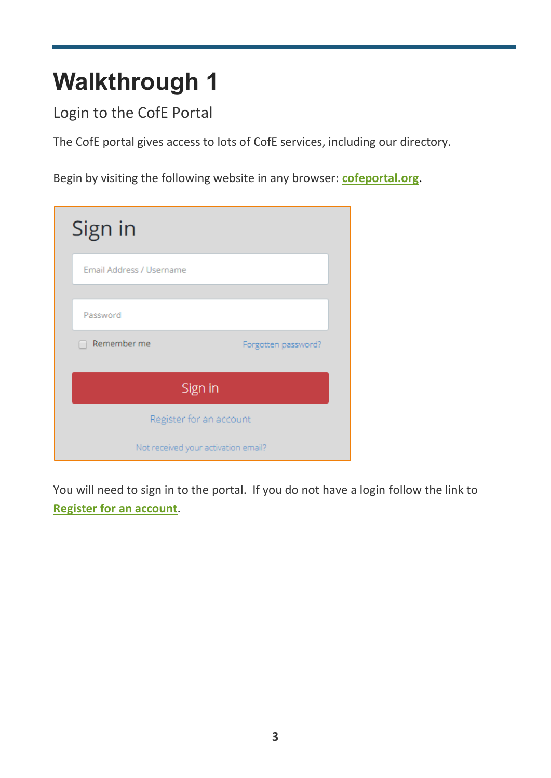## **Walkthrough 1**

Login to the CofE Portal

The CofE portal gives access to lots of CofE services, including our directory.

Begin by visiting the following website in any browser: **[cofeportal.org](https://cofeportal.org/)**.

| Sign in                             |                     |
|-------------------------------------|---------------------|
| Email Address / Username            |                     |
| Password                            |                     |
| Remember me                         | Forgotten password? |
| Sign in                             |                     |
| Register for an account             |                     |
| Not received your activation email? |                     |

You will need to sign in to the portal. If you do not have a login follow the link to **[Register for an account](https://cofeportal.org/register)**.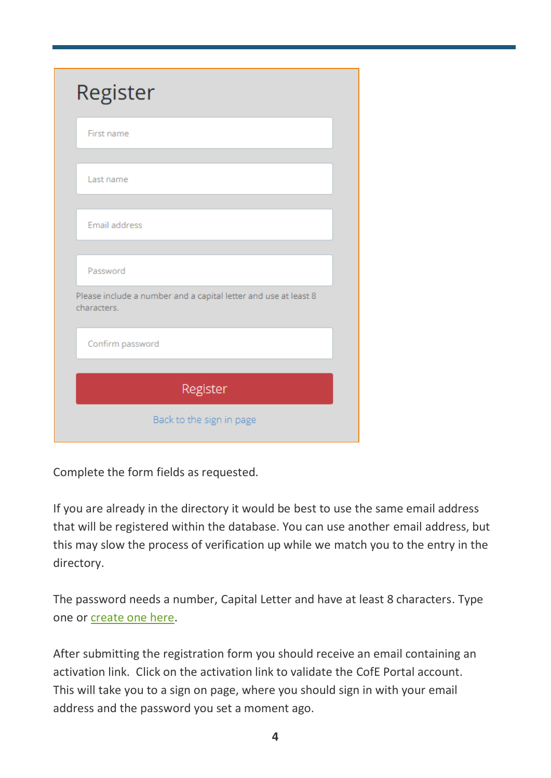| Register                                                                       |  |
|--------------------------------------------------------------------------------|--|
| First name                                                                     |  |
| Last name                                                                      |  |
| Email address                                                                  |  |
| Password                                                                       |  |
| Please include a number and a capital letter and use at least 8<br>characters. |  |
| Confirm password                                                               |  |
| Register                                                                       |  |
| Back to the sign in page                                                       |  |

Complete the form fields as requested.

If you are already in the directory it would be best to use the same email address that will be registered within the database. You can use another email address, but this may slow the process of verification up while we match you to the entry in the directory.

The password needs a number, Capital Letter and have at least 8 characters. Type one or [create one here.](https://www.oxford.anglican.org/cms/passwords/)

After submitting the registration form you should receive an email containing an activation link. Click on the activation link to validate the CofE Portal account. This will take you to a sign on page, where you should sign in with your email address and the password you set a moment ago.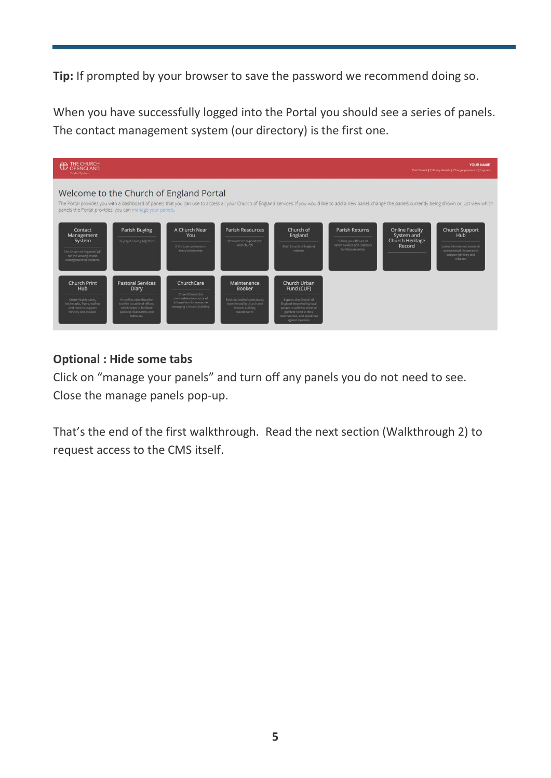**Tip:** If prompted by your browser to save the password we recommend doing so.

When you have successfully logged into the Portal you should see a series of panels. The contact management system (our directory) is the first one.



#### **Optional : Hide some tabs**

Click on "manage your panels" and turn off any panels you do not need to see. Close the manage panels pop-up.

That's the end of the first walkthrough. Read the next section (Walkthrough 2) to request access to the CMS itself.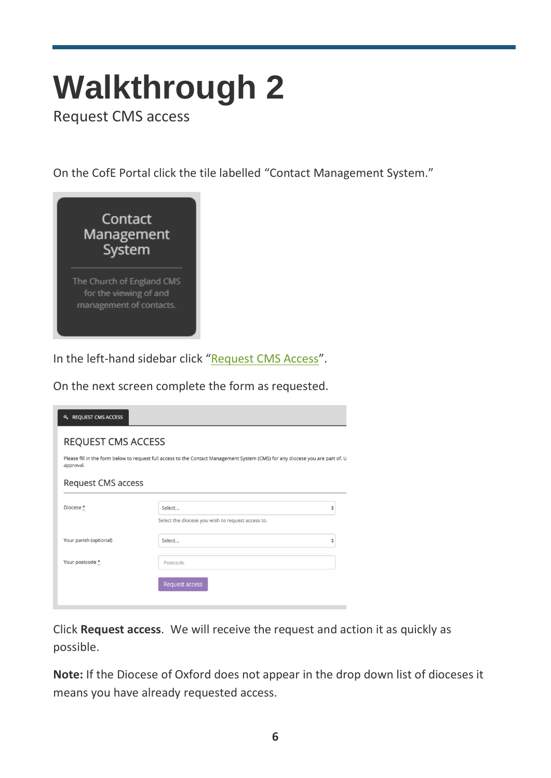# **Walkthrough 2**

Request CMS access

On the CofE Portal click the tile labelled "Contact Management System."



In the left-hand sidebar click "[Request CMS Access](https://cms.cofeportal.org/access)".

On the next screen complete the form as requested.

| <b>4 REQUEST CMS ACCESS</b>                                                                                                                 |                                                   |  |
|---------------------------------------------------------------------------------------------------------------------------------------------|---------------------------------------------------|--|
| <b>REQUEST CMS ACCESS</b>                                                                                                                   |                                                   |  |
| Please fill in the form below to request full access to the Contact Management System (CMS) for any diocese you are part of. U<br>approval. |                                                   |  |
| <b>Request CMS access</b>                                                                                                                   |                                                   |  |
| Diocese *                                                                                                                                   | Select<br>♦                                       |  |
|                                                                                                                                             | Select the diocese you wish to request access to. |  |
| Your parish (optional)                                                                                                                      | Select<br>÷                                       |  |
| Your postcode *                                                                                                                             | Postcode                                          |  |
|                                                                                                                                             | Request access                                    |  |
|                                                                                                                                             |                                                   |  |

Click **Request access**. We will receive the request and action it as quickly as possible.

**Note:** If the Diocese of Oxford does not appear in the drop down list of dioceses it means you have already requested access.